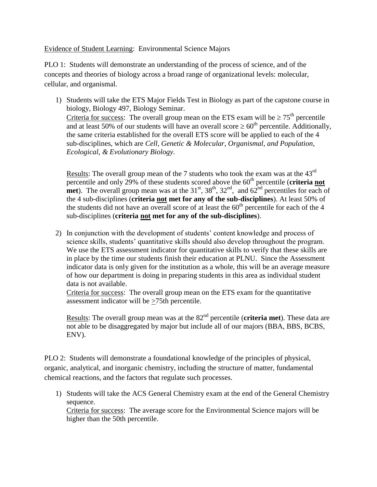Evidence of Student Learning: Environmental Science Majors

PLO 1: Students will demonstrate an understanding of the process of science, and of the concepts and theories of biology across a broad range of organizational levels: molecular, cellular, and organismal.

1) Students will take the ETS Major Fields Test in Biology as part of the capstone course in biology, Biology 497, Biology Seminar. Criteria for success: The overall group mean on the ETS exam will be  $\geq 75^{\text{th}}$  percentile and at least 50% of our students will have an overall score  $\geq 60^{th}$  percentile. Additionally, the same criteria established for the overall ETS score will be applied to each of the 4 sub-disciplines, which are *Cell, Genetic & Molecular, Organismal, and Population, Ecological, & Evolutionary Biology*.

Results: The overall group mean of the 7 students who took the exam was at the  $43<sup>rd</sup>$ percentile and only 29% of these students scored above the 60<sup>th</sup> percentile (**criteria not**) **met**). The overall group mean was at the  $31<sup>st</sup>$ ,  $38<sup>th</sup>$ ,  $32<sup>nd</sup>$ , and  $62<sup>nd</sup>$  percentiles for each of the 4 sub-disciplines (**criteria not met for any of the sub-disciplines**). At least 50% of the students did not have an overall score of at least the  $60<sup>th</sup>$  percentile for each of the 4 sub-disciplines (**criteria not met for any of the sub-disciplines**).

2) In conjunction with the development of students' content knowledge and process of science skills, students' quantitative skills should also develop throughout the program. We use the ETS assessment indicator for quantitative skills to verify that these skills are in place by the time our students finish their education at PLNU. Since the Assessment indicator data is only given for the institution as a whole, this will be an average measure of how our department is doing in preparing students in this area as individual student data is not available.

Criteria for success: The overall group mean on the ETS exam for the quantitative assessment indicator will be  $\geq$ 75th percentile.

Results: The overall group mean was at the 82<sup>nd</sup> percentile (**criteria met**). These data are not able to be disaggregated by major but include all of our majors (BBA, BBS, BCBS, ENV).

PLO 2: Students will demonstrate a foundational knowledge of the principles of physical, organic, analytical, and inorganic chemistry, including the structure of matter, fundamental chemical reactions, and the factors that regulate such processes.

1) Students will take the ACS General Chemistry exam at the end of the General Chemistry sequence.

Criteria for success: The average score for the Environmental Science majors will be higher than the 50th percentile.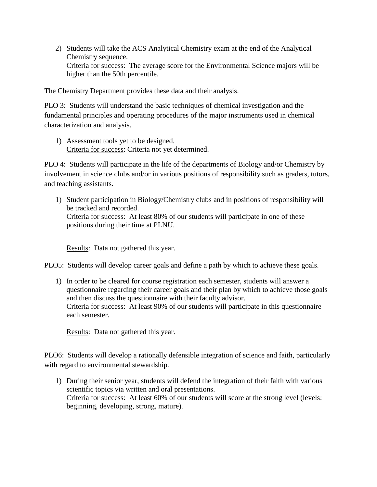2) Students will take the ACS Analytical Chemistry exam at the end of the Analytical Chemistry sequence. Criteria for success: The average score for the Environmental Science majors will be higher than the 50th percentile.

The Chemistry Department provides these data and their analysis.

PLO 3: Students will understand the basic techniques of chemical investigation and the fundamental principles and operating procedures of the major instruments used in chemical characterization and analysis.

1) Assessment tools yet to be designed. Criteria for success: Criteria not yet determined.

PLO 4: Students will participate in the life of the departments of Biology and/or Chemistry by involvement in science clubs and/or in various positions of responsibility such as graders, tutors, and teaching assistants.

1) Student participation in Biology/Chemistry clubs and in positions of responsibility will be tracked and recorded. Criteria for success: At least 80% of our students will participate in one of these positions during their time at PLNU.

Results: Data not gathered this year.

PLO5: Students will develop career goals and define a path by which to achieve these goals.

1) In order to be cleared for course registration each semester, students will answer a questionnaire regarding their career goals and their plan by which to achieve those goals and then discuss the questionnaire with their faculty advisor. Criteria for success: At least 90% of our students will participate in this questionnaire each semester.

Results: Data not gathered this year.

PLO6: Students will develop a rationally defensible integration of science and faith, particularly with regard to environmental stewardship.

1) During their senior year, students will defend the integration of their faith with various scientific topics via written and oral presentations. Criteria for success: At least 60% of our students will score at the strong level (levels: beginning, developing, strong, mature).